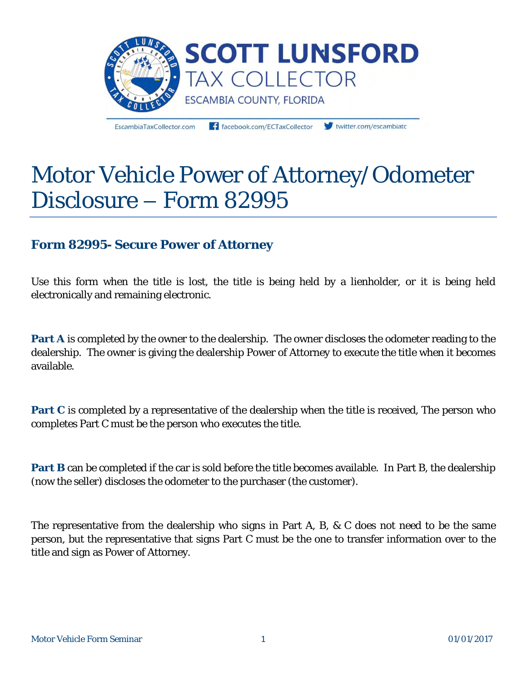

EscambiaTaxCollector.com

facebook.com/ECTaxCollector

twitter.com/escambiate

# Motor Vehicle Power of Attorney/Odometer Disclosure – Form 82995

# **Form 82995- Secure Power of Attorney**

Use this form when the title is lost, the title is being held by a lienholder, or it is being held electronically and remaining electronic.

**Part A** is completed by the owner to the dealership. The owner discloses the odometer reading to the dealership. The owner is giving the dealership Power of Attorney to execute the title when it becomes available.

**Part C** is completed by a representative of the dealership when the title is received, The person who completes Part C must be the person who executes the title.

**Part B** can be completed if the car is sold before the title becomes available. In Part B, the dealership (now the seller) discloses the odometer to the purchaser (the customer).

The representative from the dealership who signs in Part A, B, & C does not need to be the same person, but the representative that signs Part C must be the one to transfer information over to the title and sign as Power of Attorney.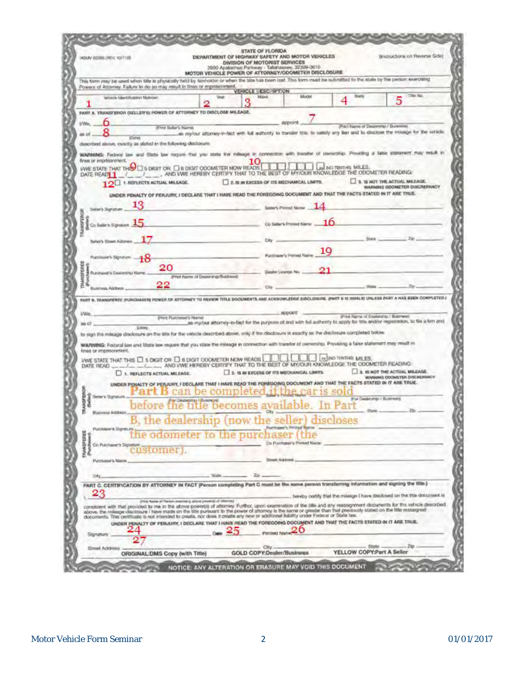|                                    | HEARY 20506 (REV. 10/11VE                                                                                                                                                                                                                                                                                  |                               |                                  | <b><i>STATE OF FLORIDA</i></b><br>DEPARTMENT OF HIGHWAY SAFETY AND MOTOR VEHICLES<br>DIVISION OF MOTORIST SERVICES<br>2900 Apalachee Parkway - Tallahassee, 32329-0619<br>MOTOR VEHICLE POWER OF ATTORNEY/ODOMETER DISCLOSURE |                                |                                                                                                                                                           | Bratructions on Review Gide)                                                                                                                                                                                                     |
|------------------------------------|------------------------------------------------------------------------------------------------------------------------------------------------------------------------------------------------------------------------------------------------------------------------------------------------------------|-------------------------------|----------------------------------|-------------------------------------------------------------------------------------------------------------------------------------------------------------------------------------------------------------------------------|--------------------------------|-----------------------------------------------------------------------------------------------------------------------------------------------------------|----------------------------------------------------------------------------------------------------------------------------------------------------------------------------------------------------------------------------------|
|                                    | This form may be used when title is physically held by isoricader or when the title has been lost. This form must be submitted to the state by the person exercising<br>Powers of Attorney. Failure to do so may result in finite or implifichment.                                                        |                               |                                  |                                                                                                                                                                                                                               |                                |                                                                                                                                                           |                                                                                                                                                                                                                                  |
|                                    | Vehicle Identification Number                                                                                                                                                                                                                                                                              |                               |                                  | <b>VEHICLE LESC IPTION</b><br><b>Mand</b>                                                                                                                                                                                     | Modél                          | <b>Fronty</b>                                                                                                                                             | Title: No.                                                                                                                                                                                                                       |
|                                    |                                                                                                                                                                                                                                                                                                            |                               |                                  |                                                                                                                                                                                                                               |                                |                                                                                                                                                           |                                                                                                                                                                                                                                  |
|                                    | PART A. TRANSFEROR DELLER'S) POWER OF ATTORNEY TO DISCLOSE MILEAGE.                                                                                                                                                                                                                                        |                               |                                  |                                                                                                                                                                                                                               |                                |                                                                                                                                                           |                                                                                                                                                                                                                                  |
| I/Wo.                              |                                                                                                                                                                                                                                                                                                            | (Frisk Sullar's Name)         |                                  |                                                                                                                                                                                                                               | appoint                        |                                                                                                                                                           | Pract Nazza of Dealership / Bunestite)                                                                                                                                                                                           |
| as of                              | (Claries)                                                                                                                                                                                                                                                                                                  |                               |                                  |                                                                                                                                                                                                                               |                                |                                                                                                                                                           | as reyour attorney-in-tect with full authority to transfer tow to sattely any lies and to disclose the missige for the vehicle                                                                                                   |
| fines or imprisonment.             | described above, exactly as abited in the following disclosure.<br>WE STATE THAT THE SUGIT OR LIB DIGIT ODOMETER NOW READS<br>DATE READER TO THE VEH ON A WID TWE HEREBY CERTIFY THAT TO THE BEST OF MY/OUR KNOWLEDGE THE ODOMETER READING:<br>12 1 REFLECTS ACTUAL MILEAGE.                               |                               |                                  | 2. IS IN EXCESS OF ITS MECHANICAL LIMITS.                                                                                                                                                                                     |                                | ad NO TRITIVE MILES.                                                                                                                                      | WARNING: Finitional law and Statis law require that you state the releage in connection with transfer of owninship. Providing a fatile statement may result in<br>3. IS NOT THE ACTUAL MILEAGE.<br>WARNING ODDINETER DISCREPANCY |
|                                    | UNDER FIDIALTY OF PERJURY, I DECLARE THAT I HAVE READ THE FOREGOING DOCUMENT AND THAT THE FACTS STATED IN IT ARE TRUE.                                                                                                                                                                                     |                               |                                  |                                                                                                                                                                                                                               |                                |                                                                                                                                                           |                                                                                                                                                                                                                                  |
| tialer's Signature                 |                                                                                                                                                                                                                                                                                                            |                               |                                  |                                                                                                                                                                                                                               | <b>George's Printed Marray</b> |                                                                                                                                                           |                                                                                                                                                                                                                                  |
|                                    |                                                                                                                                                                                                                                                                                                            |                               |                                  |                                                                                                                                                                                                                               |                                |                                                                                                                                                           |                                                                                                                                                                                                                                  |
| Co Soliv's Signalum                |                                                                                                                                                                                                                                                                                                            |                               |                                  | Co Salar's Prymed Name                                                                                                                                                                                                        |                                |                                                                                                                                                           |                                                                                                                                                                                                                                  |
| Selects Street Address             |                                                                                                                                                                                                                                                                                                            |                               |                                  | D(y)                                                                                                                                                                                                                          |                                | <b>Titules</b>                                                                                                                                            |                                                                                                                                                                                                                                  |
|                                    |                                                                                                                                                                                                                                                                                                            |                               |                                  |                                                                                                                                                                                                                               |                                |                                                                                                                                                           |                                                                                                                                                                                                                                  |
| Purcheater's Signature             |                                                                                                                                                                                                                                                                                                            |                               |                                  | Pucchase's Pointed Name                                                                                                                                                                                                       |                                |                                                                                                                                                           |                                                                                                                                                                                                                                  |
| <b>S Purchaver's Dual-H19U Nav</b> | 20                                                                                                                                                                                                                                                                                                         |                               |                                  |                                                                                                                                                                                                                               | Exceler Licensen No            |                                                                                                                                                           |                                                                                                                                                                                                                                  |
|                                    | 22                                                                                                                                                                                                                                                                                                         |                               | Print Name of Departing/Bulkwood |                                                                                                                                                                                                                               |                                |                                                                                                                                                           |                                                                                                                                                                                                                                  |
| <b>Business Address</b>            |                                                                                                                                                                                                                                                                                                            |                               |                                  | City                                                                                                                                                                                                                          |                                |                                                                                                                                                           |                                                                                                                                                                                                                                  |
|                                    |                                                                                                                                                                                                                                                                                                            |                               |                                  |                                                                                                                                                                                                                               |                                |                                                                                                                                                           | PART B. TRANSPERIE (FURCHASER) FOWER OF ATTORNEY TO REVIEW TITLE DOCUMENTS AND ACKNOWLEDGE DIDCLOSURE. (PART S IS INVALID UNLESS FART A HAS SIEN COMPLETED.)                                                                     |
| L/Was.                             |                                                                                                                                                                                                                                                                                                            |                               |                                  |                                                                                                                                                                                                                               | <b>INFOORTS</b>                |                                                                                                                                                           | Print Reyne of Dealership / Business)                                                                                                                                                                                            |
| но.                                | <b>LOWMA</b>                                                                                                                                                                                                                                                                                               | <b>Shrit Pustrated's Name</b> |                                  |                                                                                                                                                                                                                               |                                |                                                                                                                                                           | as mylour attorney-in-fact for the purpose of end with full authority to apply for title and/or registration, to the a firm and                                                                                                  |
|                                    | to sign the mileage disclosure on the title for the vesicle described above, only if the disclosure it exactly as the disclosure completed below.                                                                                                                                                          |                               |                                  |                                                                                                                                                                                                                               |                                |                                                                                                                                                           |                                                                                                                                                                                                                                  |
|                                    |                                                                                                                                                                                                                                                                                                            |                               |                                  |                                                                                                                                                                                                                               |                                | WARNING: Federal law and State law request that you state the mileage in connection with transfer of ownership. Providing a false statement may result in |                                                                                                                                                                                                                                  |
|                                    |                                                                                                                                                                                                                                                                                                            |                               |                                  |                                                                                                                                                                                                                               |                                |                                                                                                                                                           |                                                                                                                                                                                                                                  |
| fination impressions.              |                                                                                                                                                                                                                                                                                                            |                               |                                  |                                                                                                                                                                                                                               |                                | I INFORMATION LIKE ES.                                                                                                                                    |                                                                                                                                                                                                                                  |
|                                    | UWE STATE THAT THIS ET S DIGIT OR ET & DIGIT ODOMETER NOW READS                                                                                                                                                                                                                                            |                               |                                  |                                                                                                                                                                                                                               |                                |                                                                                                                                                           |                                                                                                                                                                                                                                  |
|                                    | 1. REFLECTS ACTUAL MILEAGE.                                                                                                                                                                                                                                                                                |                               |                                  | 2. IS IN EXCESS OF ITS MECHANICAL LIMITS.                                                                                                                                                                                     |                                |                                                                                                                                                           | 1. IL IS NOT THE ACTUAL MILEAGE.<br><b>VOUSING COOMETER DISCREPANCY</b>                                                                                                                                                          |
|                                    | UNDER PENALTY OF PERJURY, I DECLARE THAT I HAVE READ THE FOREGOING DOCUMENT AND THAT THE FACTS STATED IN IT ARE TRUE.                                                                                                                                                                                      |                               |                                  |                                                                                                                                                                                                                               |                                |                                                                                                                                                           |                                                                                                                                                                                                                                  |
| Selers Spranze.                    |                                                                                                                                                                                                                                                                                                            |                               | is can be completed              |                                                                                                                                                                                                                               |                                |                                                                                                                                                           | Nor Dealership / Business)                                                                                                                                                                                                       |
|                                    | a Ackbrock                                                                                                                                                                                                                                                                                                 |                               |                                  | before the title becomes available. In Part                                                                                                                                                                                   |                                |                                                                                                                                                           |                                                                                                                                                                                                                                  |
|                                    |                                                                                                                                                                                                                                                                                                            |                               |                                  | s                                                                                                                                                                                                                             |                                |                                                                                                                                                           |                                                                                                                                                                                                                                  |
| Purchaser & Startin Pt.            |                                                                                                                                                                                                                                                                                                            |                               |                                  | the dealership (now the                                                                                                                                                                                                       |                                |                                                                                                                                                           |                                                                                                                                                                                                                                  |
|                                    | he odometer to the purc<br>Co Purchasen's Signature                                                                                                                                                                                                                                                        |                               |                                  |                                                                                                                                                                                                                               | Do Purchaser's Printed Nause   |                                                                                                                                                           |                                                                                                                                                                                                                                  |
| TIVANSPICIED                       | ustomer).                                                                                                                                                                                                                                                                                                  |                               |                                  |                                                                                                                                                                                                                               |                                |                                                                                                                                                           |                                                                                                                                                                                                                                  |
| Purchaser's Name.                  |                                                                                                                                                                                                                                                                                                            |                               |                                  | Sinset Address                                                                                                                                                                                                                |                                |                                                                                                                                                           |                                                                                                                                                                                                                                  |
| Cilly                              |                                                                                                                                                                                                                                                                                                            |                               |                                  | 20                                                                                                                                                                                                                            |                                |                                                                                                                                                           |                                                                                                                                                                                                                                  |
|                                    | PART C. CERTIFICATION BY ATTORNEY IN FACT (Person completing Part C must be the same person transforming information and signing the title.)                                                                                                                                                               |                               |                                  |                                                                                                                                                                                                                               |                                |                                                                                                                                                           |                                                                                                                                                                                                                                  |
| 23                                 |                                                                                                                                                                                                                                                                                                            |                               |                                  |                                                                                                                                                                                                                               |                                |                                                                                                                                                           | , hereby certify that the mileage I have declosed on the trie document is                                                                                                                                                        |
|                                    | From Name of Factors averaging above provents of chiermal                                                                                                                                                                                                                                                  |                               |                                  |                                                                                                                                                                                                                               |                                |                                                                                                                                                           | consistent with that provided to me in the above poweriji) of attorney. Furthor, upon examination of the life and any reassignment documents for the vehicle described.                                                          |
|                                    | above. the mileage decisione I have made on the bite pursuant to the power of attorney is the same or greater than that previously stated on the title restaugned<br>documents. This certificate is not intended to create, nor does it create any new or additional liability under Federal or State law. |                               |                                  |                                                                                                                                                                                                                               |                                |                                                                                                                                                           |                                                                                                                                                                                                                                  |
|                                    | UNDER PENALTY OF PERUURY, I DECLARE THAT I HAVE READ THE FOREGOING DOCUMENT AND THAT THE FACTS STATED IN IT ARE TRUE.                                                                                                                                                                                      |                               |                                  |                                                                                                                                                                                                                               |                                |                                                                                                                                                           |                                                                                                                                                                                                                                  |
| Signature                          |                                                                                                                                                                                                                                                                                                            |                               |                                  | <b>Printmet Night</b>                                                                                                                                                                                                         |                                |                                                                                                                                                           |                                                                                                                                                                                                                                  |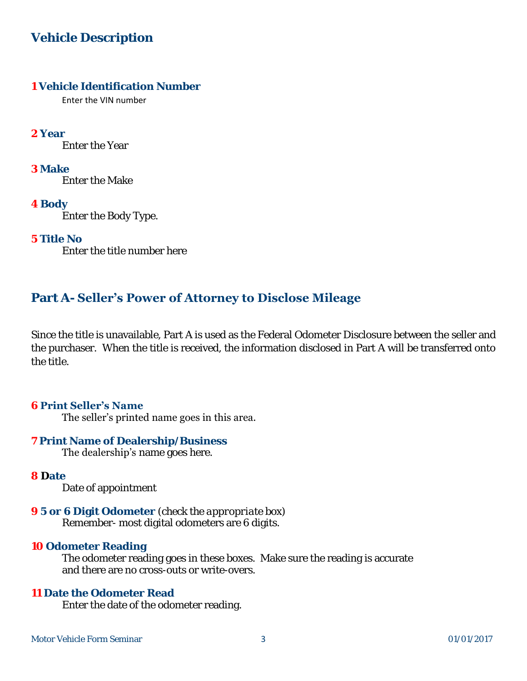# **Vehicle Description**

#### **1 Vehicle Identification Number**

Enter the VIN number

**2 Year** Enter the Year

**3 Make** Enter the Make

**4 Body** Enter the Body Type.

**5 Title No** Enter the title number here

## **Part A- Seller's Power of Attorney to Disclose Mileage**

Since the title is unavailable, Part A is used as the Federal Odometer Disclosure between the seller and the purchaser. When the title is received, the information disclosed in Part A will be transferred onto the title.

#### **6 Print Seller's Name**

The seller's printed name goes in this area.

#### **7 Print Name of Dealership/Business**  The dealership's name goes here.

#### **8 Date**

Date of appointment

**9 5 or 6 Digit Odometer** *(check the appropriate box)* Remember- most digital odometers are 6 digits.

#### **10 Odometer Reading**

 The odometer reading goes in these boxes. Make sure the reading is accurate and there are no cross-outs or write-overs.

#### **11 Date the Odometer Read**

Enter the date of the odometer reading.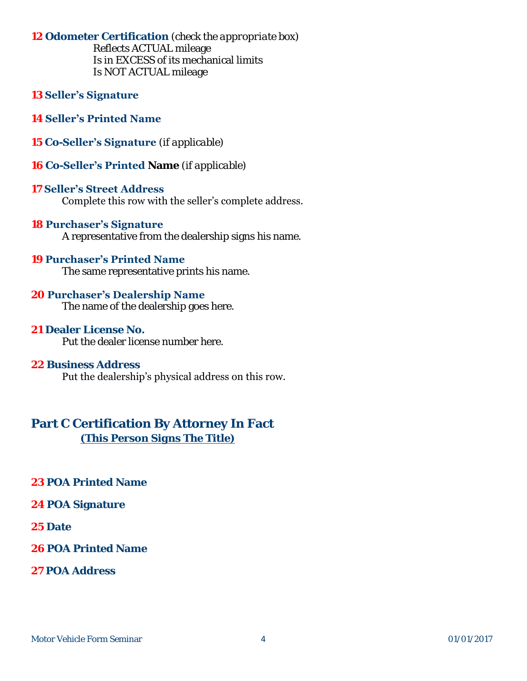**12 Odometer Certification** *(check the appropriate box)* Reflects ACTUAL mileage

 Is in EXCESS of its mechanical limits Is NOT ACTUAL mileage

- **13 Seller's Signature**
- **14 Seller's Printed Name**
- **15 Co-Seller's Signature** *(if applicable)*
- **16 Co-Seller's Printed Name** *(if applicable)*

#### **17 Seller's Street Address**

Complete this row with the seller's complete address.

#### **18 Purchaser's Signature**

A representative from the dealership signs his name.

#### **19 Purchaser's Printed Name**

The same representative prints his name.

#### **20 Purchaser's Dealership Name**

The name of the dealership goes here.

#### **21 Dealer License No.**

Put the dealer license number here.

#### **22 Business Address**

Put the dealership's physical address on this row.

### **Part C Certification By Attorney In Fact** *(This Person Signs The Title)*

- **23 POA Printed Name**
- **24 POA Signature**
- **25 Date**
- **26 POA Printed Name**
- **27 POA Address**